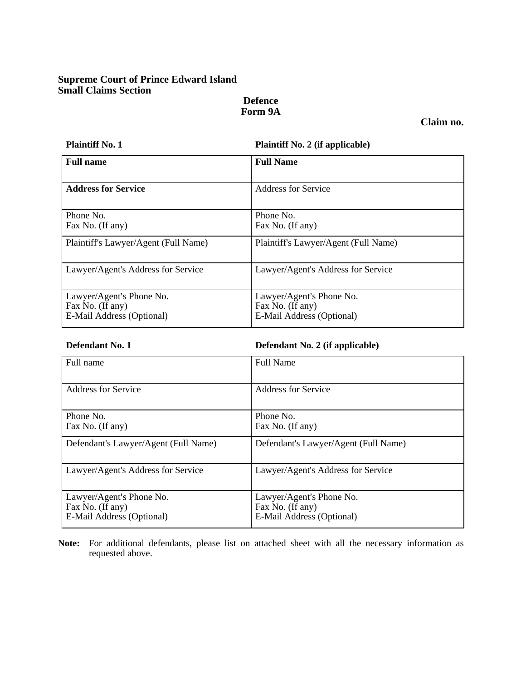# **Supreme Court of Prince Edward Island Small Claims Section**

## **Defence Form 9A**

**Claim no.** 

| <b>Plaintiff No. 1</b>               | <b>Plaintiff No. 2 (if applicable)</b> |
|--------------------------------------|----------------------------------------|
| <b>Full name</b>                     | <b>Full Name</b>                       |
| <b>Address for Service</b>           | Address for Service                    |
| Phone No.                            | Phone No.                              |
| Fax No. (If any)                     | Fax No. (If any)                       |
| Plaintiff's Lawyer/Agent (Full Name) | Plaintiff's Lawyer/Agent (Full Name)   |
| Lawyer/Agent's Address for Service   | Lawyer/Agent's Address for Service     |
| Lawyer/Agent's Phone No.             | Lawyer/Agent's Phone No.               |
| Fax No. (If any)                     | Fax No. (If any)                       |
| E-Mail Address (Optional)            | E-Mail Address (Optional)              |

# **Defendant No. 1 Defendant No. 2 (if applicable)**

| Full name                                                                 | <b>Full Name</b>                                                          |
|---------------------------------------------------------------------------|---------------------------------------------------------------------------|
| <b>Address for Service</b>                                                | <b>Address for Service</b>                                                |
| Phone No.<br>Fax No. (If any)                                             | Phone No.<br>Fax No. (If any)                                             |
| Defendant's Lawyer/Agent (Full Name)                                      | Defendant's Lawyer/Agent (Full Name)                                      |
| Lawyer/Agent's Address for Service                                        | Lawyer/Agent's Address for Service                                        |
| Lawyer/Agent's Phone No.<br>Fax No. (If any)<br>E-Mail Address (Optional) | Lawyer/Agent's Phone No.<br>Fax No. (If any)<br>E-Mail Address (Optional) |

**Note:** For additional defendants, please list on attached sheet with all the necessary information as requested above.